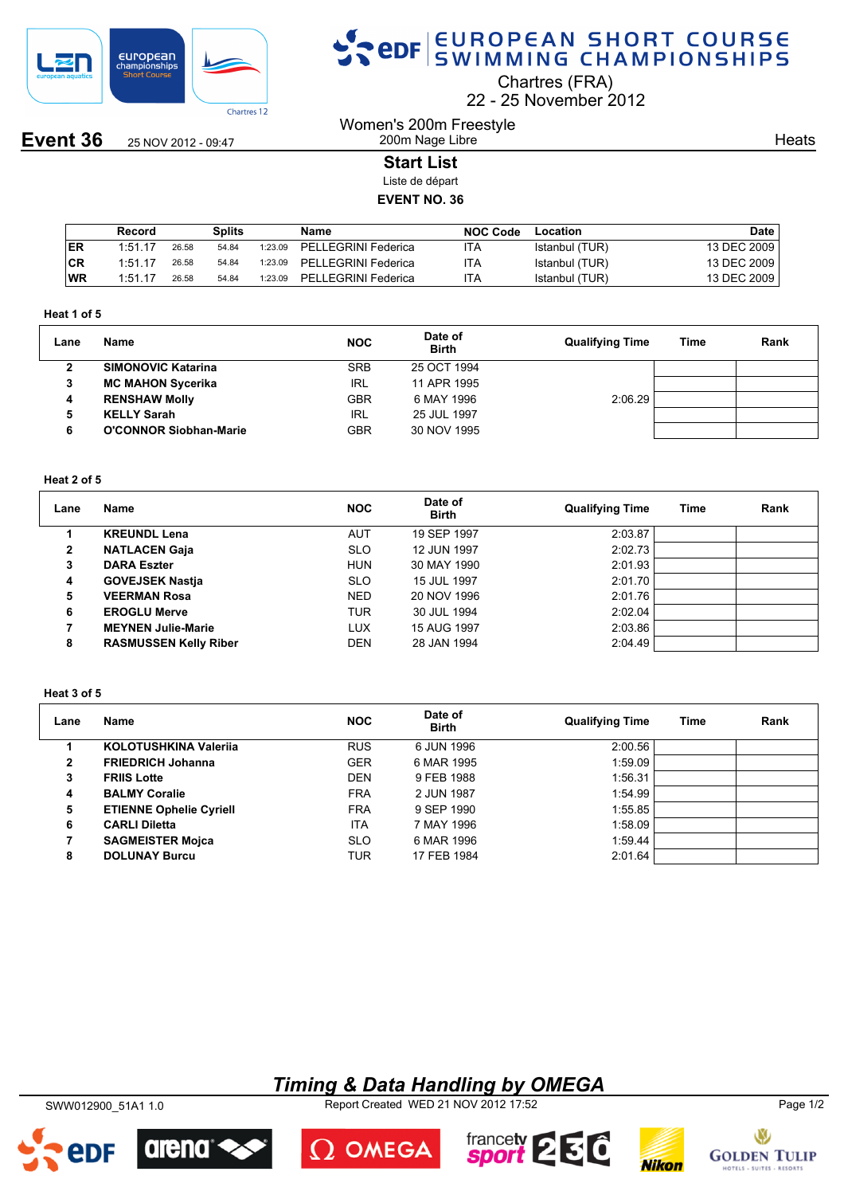

**Event 36** 25 NOV 2012 - 09:47

## SPOR EUROPEAN SHORT COURSE

Chartres (FRA)

22 25 November 2012

Women's 200m Freestyle 200m Nage Libre

**Heats** 

## **Start List**

Liste de départ

## **EVENT NO. 36**

|            | Record  |       | Splits |         | Name                | <b>NOC Code</b> | Location       | <b>Date</b> |
|------------|---------|-------|--------|---------|---------------------|-----------------|----------------|-------------|
| <b>IER</b> | 1:51.17 | 26.58 | 54.84  | 1:23.09 | PELLEGRINI Federica | ιTΑ             | Istanbul (TUR) | 13 DEC 2009 |
| <b>CR</b>  | 1:51.17 | 26.58 | 54.84  | 1:23.09 | PELLEGRINI Federica | ITA             | Istanbul (TUR) | 13 DEC 2009 |
| <b>WR</b>  | 1:51.17 | 26.58 | 54.84  | 1:23.09 | PELLEGRINI Federica | ITA             | Istanbul (TUR) | 13 DEC 2009 |

#### **Heat 1 of 5**

| Lane | Name                          | <b>NOC</b> | Date of<br><b>Birth</b> | <b>Qualifying Time</b> | Time | Rank |
|------|-------------------------------|------------|-------------------------|------------------------|------|------|
|      | <b>SIMONOVIC Katarina</b>     | <b>SRB</b> | 25 OCT 1994             |                        |      |      |
|      | <b>MC MAHON Sycerika</b>      | IRL        | 11 APR 1995             |                        |      |      |
|      | <b>RENSHAW Molly</b>          | <b>GBR</b> | 6 MAY 1996              | 2:06.29                |      |      |
| 5    | <b>KELLY Sarah</b>            | IRL        | 25 JUL 1997             |                        |      |      |
|      | <b>O'CONNOR Siobhan-Marie</b> | <b>GBR</b> | 30 NOV 1995             |                        |      |      |

### **Heat 2 of 5**

| Lane         | Name                         | <b>NOC</b> | Date of<br><b>Birth</b> | <b>Qualifying Time</b> | Time | Rank |
|--------------|------------------------------|------------|-------------------------|------------------------|------|------|
|              | <b>KREUNDL Lena</b>          | AUT        | 19 SEP 1997             | 2:03.87                |      |      |
| $\mathbf{2}$ | <b>NATLACEN Gaja</b>         | <b>SLO</b> | 12 JUN 1997             | 2:02.73                |      |      |
| 3            | <b>DARA Eszter</b>           | <b>HUN</b> | 30 MAY 1990             | 2:01.93                |      |      |
| 4            | <b>GOVEJSEK Nastia</b>       | <b>SLO</b> | 15 JUL 1997             | 2:01.70                |      |      |
| 5            | <b>VEERMAN Rosa</b>          | <b>NED</b> | 20 NOV 1996             | 2:01.76                |      |      |
| 6            | <b>EROGLU Merve</b>          | <b>TUR</b> | 30 JUL 1994             | 2:02.04                |      |      |
|              | <b>MEYNEN Julie-Marie</b>    | <b>LUX</b> | 15 AUG 1997             | 2:03.86                |      |      |
| 8            | <b>RASMUSSEN Kelly Riber</b> | <b>DEN</b> | 28 JAN 1994             | 2:04.49                |      |      |

#### **Heat 3 of 5**

| Lane | Name                           | <b>NOC</b> | Date of<br><b>Birth</b> | <b>Qualifying Time</b> | Time | Rank |
|------|--------------------------------|------------|-------------------------|------------------------|------|------|
|      | KOLOTUSHKINA Valerija          | <b>RUS</b> | 6 JUN 1996              | 2:00.56                |      |      |
| 2    | <b>FRIEDRICH Johanna</b>       | <b>GER</b> | 6 MAR 1995              | 1:59.09                |      |      |
| 3    | <b>FRIIS Lotte</b>             | <b>DEN</b> | 9 FEB 1988              | 1:56.31                |      |      |
| 4    | <b>BALMY Coralie</b>           | <b>FRA</b> | 2 JUN 1987              | 1:54.99                |      |      |
| 5    | <b>ETIENNE Ophelie Cyriell</b> | <b>FRA</b> | 9 SEP 1990              | 1:55.85                |      |      |
| 6    | <b>CARLI Diletta</b>           | <b>ITA</b> | 7 MAY 1996              | 1:58.09                |      |      |
|      | <b>SAGMEISTER Mojca</b>        | <b>SLO</b> | 6 MAR 1996              | 1:59.44                |      |      |
| 8    | <b>DOLUNAY Burcu</b>           | TUR        | 17 FEB 1984             | 2:01.64                |      |      |

## *Timing & Data Handling by OMEGA*

SWW012900\_51A1 1.0 Report Created WED 21 NOV 2012 17:52 Page 1/2